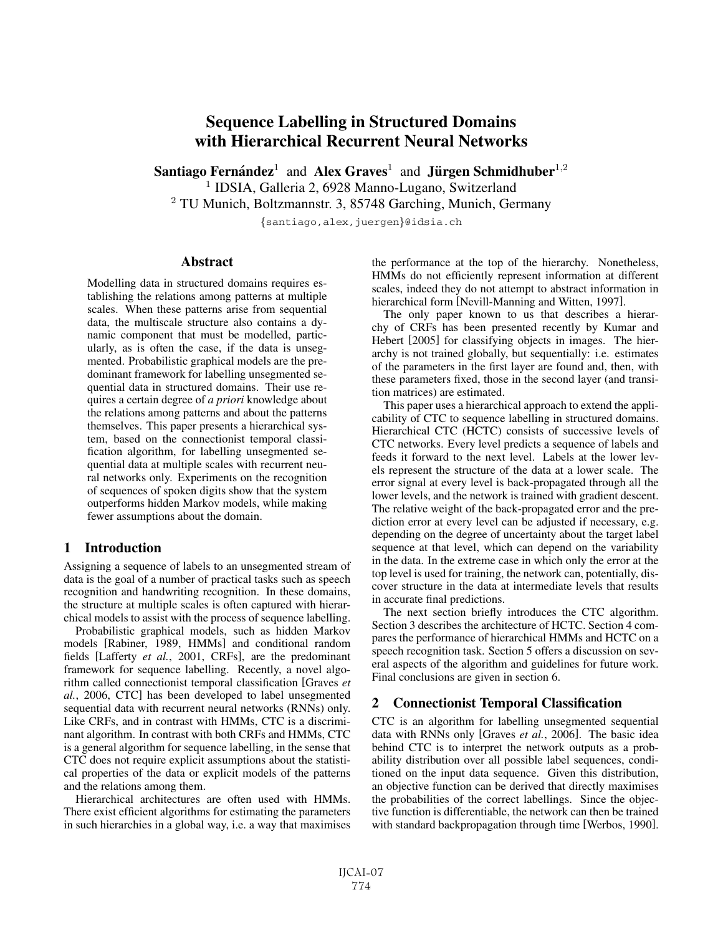# **Sequence Labelling in Structured Domains with Hierarchical Recurrent Neural Networks**

**Santiago Fernández**<sup>1</sup> and Alex Graves<sup>1</sup> and **Jürgen Schmidhuber**<sup>1,2</sup> <sup>1</sup> IDSIA, Galleria 2, 6928 Manno-Lugano, Switzerland

<sup>2</sup> TU Munich, Boltzmannstr. 3, 85748 Garching, Munich, Germany

{santiago,alex,juergen}@idsia.ch

#### **Abstract**

Modelling data in structured domains requires establishing the relations among patterns at multiple scales. When these patterns arise from sequential data, the multiscale structure also contains a dynamic component that must be modelled, particularly, as is often the case, if the data is unsegmented. Probabilistic graphical models are the predominant framework for labelling unsegmented sequential data in structured domains. Their use requires a certain degree of *a priori* knowledge about the relations among patterns and about the patterns themselves. This paper presents a hierarchical system, based on the connectionist temporal classification algorithm, for labelling unsegmented sequential data at multiple scales with recurrent neural networks only. Experiments on the recognition of sequences of spoken digits show that the system outperforms hidden Markov models, while making fewer assumptions about the domain.

# **1 Introduction**

Assigning a sequence of labels to an unsegmented stream of data is the goal of a number of practical tasks such as speech recognition and handwriting recognition. In these domains, the structure at multiple scales is often captured with hierarchical models to assist with the process of sequence labelling.

Probabilistic graphical models, such as hidden Markov models [Rabiner, 1989, HMMs] and conditional random fields [Lafferty *et al.*, 2001, CRFs], are the predominant framework for sequence labelling. Recently, a novel algorithm called connectionist temporal classification [Graves *et al.*, 2006, CTC] has been developed to label unsegmented sequential data with recurrent neural networks (RNNs) only. Like CRFs, and in contrast with HMMs, CTC is a discriminant algorithm. In contrast with both CRFs and HMMs, CTC is a general algorithm for sequence labelling, in the sense that CTC does not require explicit assumptions about the statistical properties of the data or explicit models of the patterns and the relations among them.

Hierarchical architectures are often used with HMMs. There exist efficient algorithms for estimating the parameters in such hierarchies in a global way, i.e. a way that maximises the performance at the top of the hierarchy. Nonetheless, HMMs do not efficiently represent information at different scales, indeed they do not attempt to abstract information in hierarchical form [Nevill-Manning and Witten, 1997].

The only paper known to us that describes a hierarchy of CRFs has been presented recently by Kumar and Hebert [2005] for classifying objects in images. The hierarchy is not trained globally, but sequentially: i.e. estimates of the parameters in the first layer are found and, then, with these parameters fixed, those in the second layer (and transition matrices) are estimated.

This paper uses a hierarchical approach to extend the applicability of CTC to sequence labelling in structured domains. Hierarchical CTC (HCTC) consists of successive levels of CTC networks. Every level predicts a sequence of labels and feeds it forward to the next level. Labels at the lower levels represent the structure of the data at a lower scale. The error signal at every level is back-propagated through all the lower levels, and the network is trained with gradient descent. The relative weight of the back-propagated error and the prediction error at every level can be adjusted if necessary, e.g. depending on the degree of uncertainty about the target label sequence at that level, which can depend on the variability in the data. In the extreme case in which only the error at the top level is used for training, the network can, potentially, discover structure in the data at intermediate levels that results in accurate final predictions.

The next section briefly introduces the CTC algorithm. Section 3 describes the architecture of HCTC. Section 4 compares the performance of hierarchical HMMs and HCTC on a speech recognition task. Section 5 offers a discussion on several aspects of the algorithm and guidelines for future work. Final conclusions are given in section 6.

# **2 Connectionist Temporal Classification**

CTC is an algorithm for labelling unsegmented sequential data with RNNs only [Graves *et al.*, 2006]. The basic idea behind CTC is to interpret the network outputs as a probability distribution over all possible label sequences, conditioned on the input data sequence. Given this distribution, an objective function can be derived that directly maximises the probabilities of the correct labellings. Since the objective function is differentiable, the network can then be trained with standard backpropagation through time [Werbos, 1990].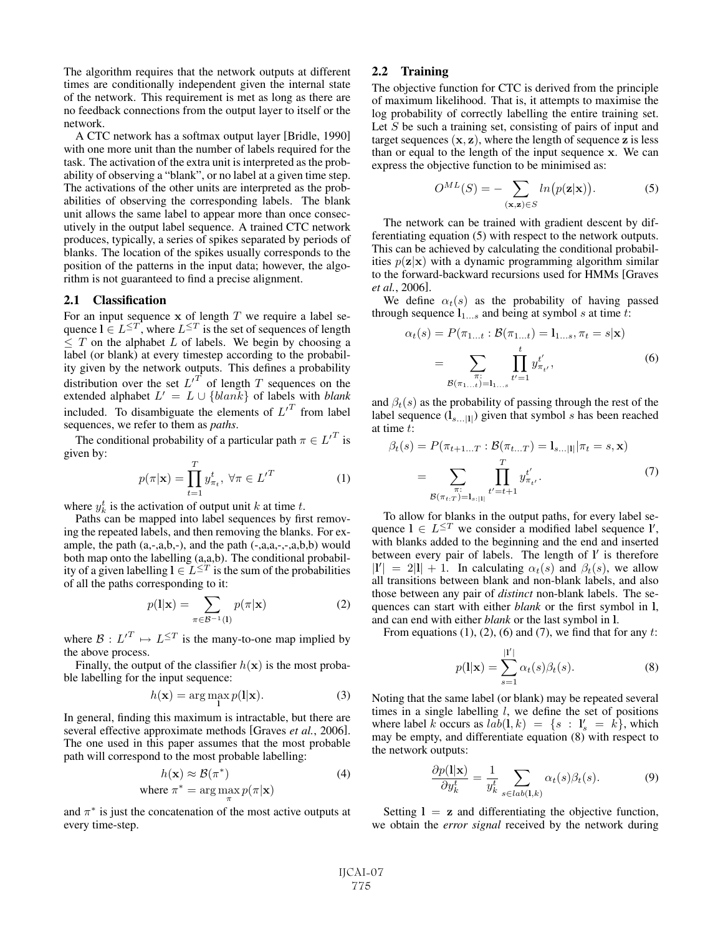The algorithm requires that the network outputs at different times are conditionally independent given the internal state of the network. This requirement is met as long as there are no feedback connections from the output layer to itself or the network.

A CTC network has a softmax output layer [Bridle, 1990] with one more unit than the number of labels required for the task. The activation of the extra unit is interpreted as the probability of observing a "blank", or no label at a given time step. The activations of the other units are interpreted as the probabilities of observing the corresponding labels. The blank unit allows the same label to appear more than once consecutively in the output label sequence. A trained CTC network produces, typically, a series of spikes separated by periods of blanks. The location of the spikes usually corresponds to the position of the patterns in the input data; however, the algorithm is not guaranteed to find a precise alignment.

#### **2.1 Classification**

For an input sequence  $x$  of length  $T$  we require a label sequence  $\mathbf{l} \in L^{\leq T}$ , where  $L^{\leq T}$  is the set of sequences of length  $\leq T$  on the alphabet L of labels. We begin by choosing a label (or blank) at every timestep according to the probability given by the network outputs. This defines a probability distribution over the set  $L^{T}$  of length T sequences on the distribution over the set  $L^T$  of length T sequences on the extended alphabet  $L' = L \cup \{blank\}$  of labels with blank extended alphabet  $L' = L \cup \{blank\}$  of labels with *blank*<br>included. To disambiguote the elements of  $L'^T$  from label included. To disambiguate the elements of  $L^T$  from label sequences, we refer to them as *paths*.

The conditional probability of a particular path  $\pi \in L^{T}$  is given by:

$$
p(\pi|\mathbf{x}) = \prod_{t=1}^{T} y_{\pi_t}^t, \ \forall \pi \in L'^T
$$
 (1)

where  $y_k^t$  is the activation of output unit k at time t.<br>Paths can be manned into label sequences by fir

Paths can be mapped into label sequences by first removing the repeated labels, and then removing the blanks. For example, the path  $(a,-,a,b,-)$ , and the path  $(-,a,a,-,-,a,b,b)$  would both map onto the labelling (a,a,b). The conditional probability of a given labelling  $l \in L^{\leq T}$  is the sum of the probabilities of all the paths corresponding to it:

$$
p(1|\mathbf{x}) = \sum_{\pi \in \mathcal{B}^{-1}(1)} p(\pi|\mathbf{x})
$$
 (2)

where  $\mathcal{B}: L'^T \mapsto L^{\leq T}$  is the many-to-one map implied by the above process the above process.

Finally, the output of the classifier  $h(\mathbf{x})$  is the most probable labelling for the input sequence:

$$
h(\mathbf{x}) = \arg\max_{\mathbf{l}} p(\mathbf{l}|\mathbf{x}).
$$
 (3)

In general, finding this maximum is intractable, but there are several effective approximate methods [Graves *et al.*, 2006]. The one used in this paper assumes that the most probable path will correspond to the most probable labelling:

$$
h(\mathbf{x}) \approx \mathcal{B}(\pi^*)
$$
 (4)  
where  $\pi^* = \arg \max_{\pi} p(\pi | \mathbf{x})$ 

and  $\pi^*$  is just the concatenation of the most active outputs at every time-step every time-step.

#### **2.2 Training**

The objective function for CTC is derived from the principle of maximum likelihood. That is, it attempts to maximise the log probability of correctly labelling the entire training set. Let  $S$  be such a training set, consisting of pairs of input and target sequences  $(x, z)$ , where the length of sequence **z** is less than or equal to the length of the input sequence **x**. We can express the objective function to be minimised as:

$$
O^{ML}(S) = -\sum_{(\mathbf{x}, \mathbf{z}) \in S} ln(p(\mathbf{z}|\mathbf{x})).
$$
 (5)

The network can be trained with gradient descent by differentiating equation (5) with respect to the network outputs. This can be achieved by calculating the conditional probabilities  $p(\mathbf{z}|\mathbf{x})$  with a dynamic programming algorithm similar to the forward-backward recursions used for HMMs [Graves *et al.*, 2006].

We define  $\alpha_t(s)$  as the probability of having passed through sequence  $l_{1...s}$  and being at symbol s at time t:

$$
\alpha_t(s) = P(\pi_{1...t} : \mathcal{B}(\pi_{1...t}) = 1_{1...s}, \pi_t = s | \mathbf{x})
$$

$$
= \sum_{\substack{\pi:\\ \mathcal{B}(\pi_{1...t}) = 1_{1...s}}} \prod_{t'=1}^t y_{\pi_{t'}}^{t'},
$$
(6)

and  $\beta_t(s)$  as the probability of passing through the rest of the label sequence  $(l_{s...11})$  given that symbol s has been reached at time t:

$$
\beta_t(s) = P(\pi_{t+1...T} : \mathcal{B}(\pi_{t...T}) = \mathbf{1}_{s...|\mathbf{1}} | \pi_t = s, \mathbf{x})
$$

$$
= \sum_{\substack{\pi:\\ \mathcal{B}(\pi_{t:T}) = \mathbf{1}_{s:|\mathbf{1}|}}} \prod_{t'=t+1}^T y_{\pi_{t'}}^{t'}.
$$
(7)

To allow for blanks in the output paths, for every label sequence  $\mathbf{l} \in L^{\leq T}$  we consider a modified label sequence **l'**, with blanks added to the beginning and the end and inserted with blanks added to the beginning and the end and inserted between every pair of labels. The length of **l'** is therefore  $|V| = 2|1| + 1$  In calculating  $\alpha_k(s)$  and  $\beta_k(s)$  we allow  $|l'| = 2|l| + 1$ . In calculating  $\alpha_t(s)$  and  $\beta_t(s)$ , we allow<br>all transitions between blank and non-blank labels, and also all transitions between blank and non-blank labels, and also those between any pair of *distinct* non-blank labels. The sequences can start with either *blank* or the first symbol in **l**, and can end with either *blank* or the last symbol in **l**.

From equations (1), (2), (6) and (7), we find that for any  $t$ :

$$
p(\mathbf{l}|\mathbf{x}) = \sum_{s=1}^{\vert \mathbf{l}' \vert} \alpha_t(s)\beta_t(s).
$$
 (8)

Noting that the same label (or blank) may be repeated several times in a single labelling  $l$ , we define the set of positions where label k occurs as  $lab(1, k) = \{s : 1_s = k\}$ , which<br>may be empty and differentiate equation (8) with respect to may be empty, and differentiate equation (8) with respect to the network outputs:

$$
\frac{\partial p(\mathbf{l}|\mathbf{x})}{\partial y_k^t} = \frac{1}{y_k^t} \sum_{s \in lab(\mathbf{l}, k)} \alpha_t(s) \beta_t(s). \tag{9}
$$

Setting  $l = z$  and differentiating the objective function, we obtain the *error signal* received by the network during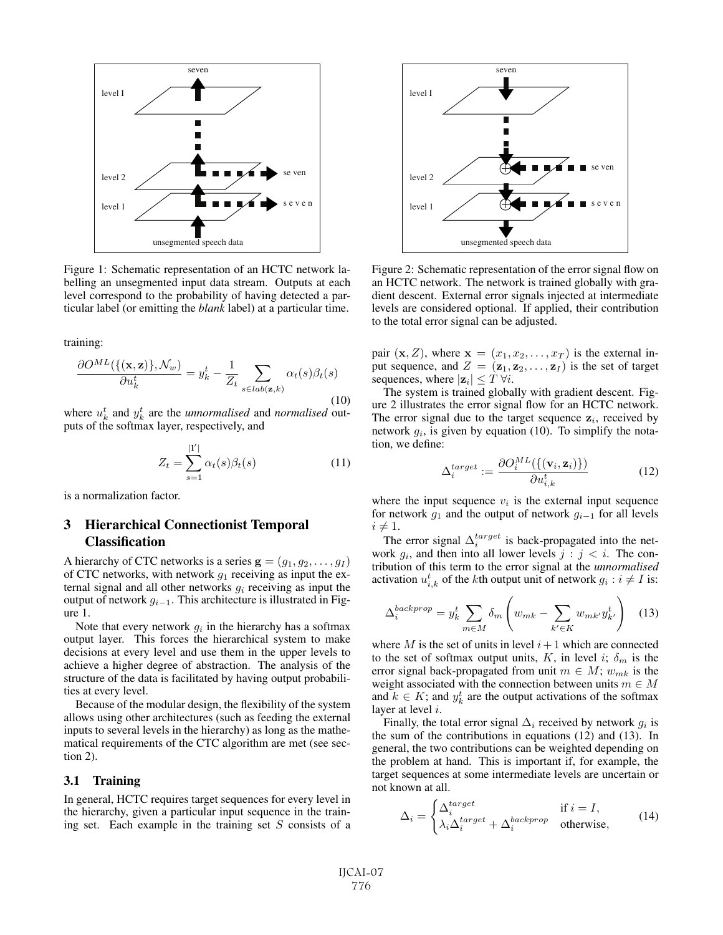

Figure 1: Schematic representation of an HCTC network labelling an unsegmented input data stream. Outputs at each level correspond to the probability of having detected a particular label (or emitting the *blank* label) at a particular time.

training:

$$
\frac{\partial O^{ML}(\{(\mathbf{x}, \mathbf{z})\}, \mathcal{N}_w)}{\partial u_k^t} = y_k^t - \frac{1}{Z_t} \sum_{s \in lab(\mathbf{z}, k)} \alpha_t(s) \beta_t(s)
$$
\n(10)

where  $u_k^t$  and  $y_k^t$  are the *unnormalised* and *normalised* out-<br>puts of the softmax layer respectively and puts of the softmax layer, respectively, and

$$
Z_t = \sum_{s=1}^{|1'|} \alpha_t(s)\beta_t(s)
$$
 (11)

is a normalization factor.

# **3 Hierarchical Connectionist Temporal Classification**

A hierarchy of CTC networks is a series  $\mathbf{g} = (g_1, g_2, \dots, g_I)$ of CTC networks, with network  $g_1$  receiving as input the external signal and all other networks  $g_i$  receiving as input the output of network  $g_{i-1}$ . This architecture is illustrated in Figure 1.

Note that every network  $g_i$  in the hierarchy has a softmax output layer. This forces the hierarchical system to make decisions at every level and use them in the upper levels to achieve a higher degree of abstraction. The analysis of the structure of the data is facilitated by having output probabilities at every level.

Because of the modular design, the flexibility of the system allows using other architectures (such as feeding the external inputs to several levels in the hierarchy) as long as the mathematical requirements of the CTC algorithm are met (see section 2).

#### **3.1 Training**

In general, HCTC requires target sequences for every level in the hierarchy, given a particular input sequence in the training set. Each example in the training set  $S$  consists of a



Figure 2: Schematic representation of the error signal flow on an HCTC network. The network is trained globally with gradient descent. External error signals injected at intermediate levels are considered optional. If applied, their contribution to the total error signal can be adjusted.

pair  $(\mathbf{x}, Z)$ , where  $\mathbf{x} = (x_1, x_2, \dots, x_T)$  is the external input sequence, and  $Z = (\mathbf{z}_1, \mathbf{z}_2, \dots, \mathbf{z}_I)$  is the set of target sequences, where  $|\mathbf{z}_i| \leq T \,\forall i$ .

The system is trained globally with gradient descent. Figure 2 illustrates the error signal flow for an HCTC network. The error signal due to the target sequence  $z_i$ , received by network  $g_i$ , is given by equation (10). To simplify the notation, we define:

$$
\Delta_i^{target} := \frac{\partial O_i^{ML}(\{(\mathbf{v}_i, \mathbf{z}_i)\})}{\partial u_{i,k}^t}
$$
(12)

where the input sequence  $v_i$  is the external input sequence for network  $g_1$  and the output of network  $g_{i-1}$  for all levels  $i \neq 1$ .

The error signal  $\Delta_i^{target}$  is back-propagated into the net-<br>ork a and then into all lower levels  $i \cdot i < i$ . The conwork  $g_i$ , and then into all lower levels  $j : j < i$ . The contribution of this term to the error signal at the *unnormalised* activation  $u_{i,k}^t$  of the *k*th output unit of network  $g_i : i \neq I$  is:

$$
\Delta_i^{backprop} = y_k^t \sum_{m \in M} \delta_m \left( w_{mk} - \sum_{k' \in K} w_{mk'} y_{k'}^t \right) \tag{13}
$$

where M is the set of units in level  $i+1$  which are connected to the set of softmax output units, K, in level i;  $\delta_m$  is the error signal back-propagated from unit  $m \in M$ ;  $w_{mk}$  is the weight associated with the connection between units  $m \in M$ and  $k \in K$ ; and  $y_k^t$  are the output activations of the softmax laver at level i layer at level i.

Finally, the total error signal  $\Delta_i$  received by network  $q_i$  is the sum of the contributions in equations (12) and (13). In general, the two contributions can be weighted depending on the problem at hand. This is important if, for example, the target sequences at some intermediate levels are uncertain or not known at all.

$$
\Delta_i = \begin{cases}\n\Delta_i^{target} & \text{if } i = I, \\
\lambda_i \Delta_i^{target} + \Delta_i^{background} & \text{otherwise,} \n\end{cases}
$$
\n(14)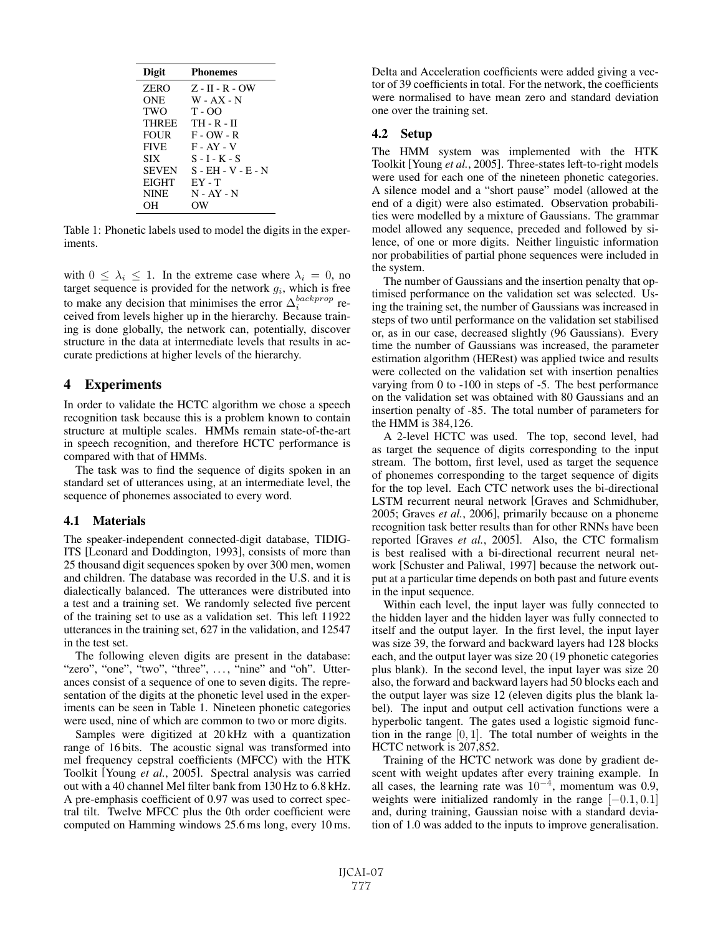| Digit        | <b>Phonemes</b>    |
|--------------|--------------------|
| <b>ZERO</b>  | $Z - H - R - OW$   |
| ONE          | $W - AX - N$       |
| TWO          | $T - OO$           |
| <b>THREE</b> | TH - R - II        |
| <b>FOUR</b>  | $F - OW - R$       |
| <b>FIVE</b>  | $F - AY - V$       |
| <b>SIX</b>   | $S - I - K - S$    |
| <b>SEVEN</b> | S - EH - V - E - N |
| <b>EIGHT</b> | $EY - T$           |
| <b>NINE</b>  | $N - AY - N$       |
| OН           | OW                 |

Table 1: Phonetic labels used to model the digits in the experiments.

with  $0 \leq \lambda_i \leq 1$ . In the extreme case where  $\lambda_i = 0$ , no target sequence is provided for the network  $g_i$ , which is free to make any decision that minimises the error  $\Delta_i^{aacexprop}$  re-<br>ceived from levels higher un in the hierarchy. Because trainceived from levels higher up in the hierarchy. Because training is done globally, the network can, potentially, discover structure in the data at intermediate levels that results in accurate predictions at higher levels of the hierarchy.

#### **4 Experiments**

In order to validate the HCTC algorithm we chose a speech recognition task because this is a problem known to contain structure at multiple scales. HMMs remain state-of-the-art in speech recognition, and therefore HCTC performance is compared with that of HMMs.

The task was to find the sequence of digits spoken in an standard set of utterances using, at an intermediate level, the sequence of phonemes associated to every word.

#### **4.1 Materials**

The speaker-independent connected-digit database, TIDIG-ITS [Leonard and Doddington, 1993], consists of more than 25 thousand digit sequences spoken by over 300 men, women and children. The database was recorded in the U.S. and it is dialectically balanced. The utterances were distributed into a test and a training set. We randomly selected five percent of the training set to use as a validation set. This left 11922 utterances in the training set, 627 in the validation, and 12547 in the test set.

The following eleven digits are present in the database: "zero", "one", "two", "three", ..., "nine" and "oh". Utterances consist of a sequence of one to seven digits. The representation of the digits at the phonetic level used in the experiments can be seen in Table 1. Nineteen phonetic categories were used, nine of which are common to two or more digits.

Samples were digitized at 20 kHz with a quantization range of 16 bits. The acoustic signal was transformed into mel frequency cepstral coefficients (MFCC) with the HTK Toolkit [Young *et al.*, 2005]. Spectral analysis was carried out with a 40 channel Mel filter bank from 130 Hz to 6.8 kHz. A pre-emphasis coefficient of 0.97 was used to correct spectral tilt. Twelve MFCC plus the 0th order coefficient were computed on Hamming windows 25.6 ms long, every 10 ms. Delta and Acceleration coefficients were added giving a vector of 39 coefficients in total. For the network, the coefficients were normalised to have mean zero and standard deviation one over the training set.

#### **4.2 Setup**

The HMM system was implemented with the HTK Toolkit [Young *et al.*, 2005]. Three-states left-to-right models were used for each one of the nineteen phonetic categories. A silence model and a "short pause" model (allowed at the end of a digit) were also estimated. Observation probabilities were modelled by a mixture of Gaussians. The grammar model allowed any sequence, preceded and followed by silence, of one or more digits. Neither linguistic information nor probabilities of partial phone sequences were included in the system.

The number of Gaussians and the insertion penalty that optimised performance on the validation set was selected. Using the training set, the number of Gaussians was increased in steps of two until performance on the validation set stabilised or, as in our case, decreased slightly (96 Gaussians). Every time the number of Gaussians was increased, the parameter estimation algorithm (HERest) was applied twice and results were collected on the validation set with insertion penalties varying from 0 to -100 in steps of -5. The best performance on the validation set was obtained with 80 Gaussians and an insertion penalty of -85. The total number of parameters for the HMM is 384,126.

A 2-level HCTC was used. The top, second level, had as target the sequence of digits corresponding to the input stream. The bottom, first level, used as target the sequence of phonemes corresponding to the target sequence of digits for the top level. Each CTC network uses the bi-directional LSTM recurrent neural network [Graves and Schmidhuber, 2005; Graves *et al.*, 2006], primarily because on a phoneme recognition task better results than for other RNNs have been reported [Graves *et al.*, 2005]. Also, the CTC formalism is best realised with a bi-directional recurrent neural network [Schuster and Paliwal, 1997] because the network output at a particular time depends on both past and future events in the input sequence.

Within each level, the input layer was fully connected to the hidden layer and the hidden layer was fully connected to itself and the output layer. In the first level, the input layer was size 39, the forward and backward layers had 128 blocks each, and the output layer was size 20 (19 phonetic categories plus blank). In the second level, the input layer was size 20 also, the forward and backward layers had 50 blocks each and the output layer was size 12 (eleven digits plus the blank label). The input and output cell activation functions were a hyperbolic tangent. The gates used a logistic sigmoid function in the range  $[0, 1]$ . The total number of weights in the HCTC network is 207,852.

Training of the HCTC network was done by gradient descent with weight updates after every training example. In all cases, the learning rate was  $10^{-4}$ , momentum was 0.9, weights were initialized randomly in the range  $[-0.1, 0.1]$ and, during training, Gaussian noise with a standard deviation of 1.0 was added to the inputs to improve generalisation.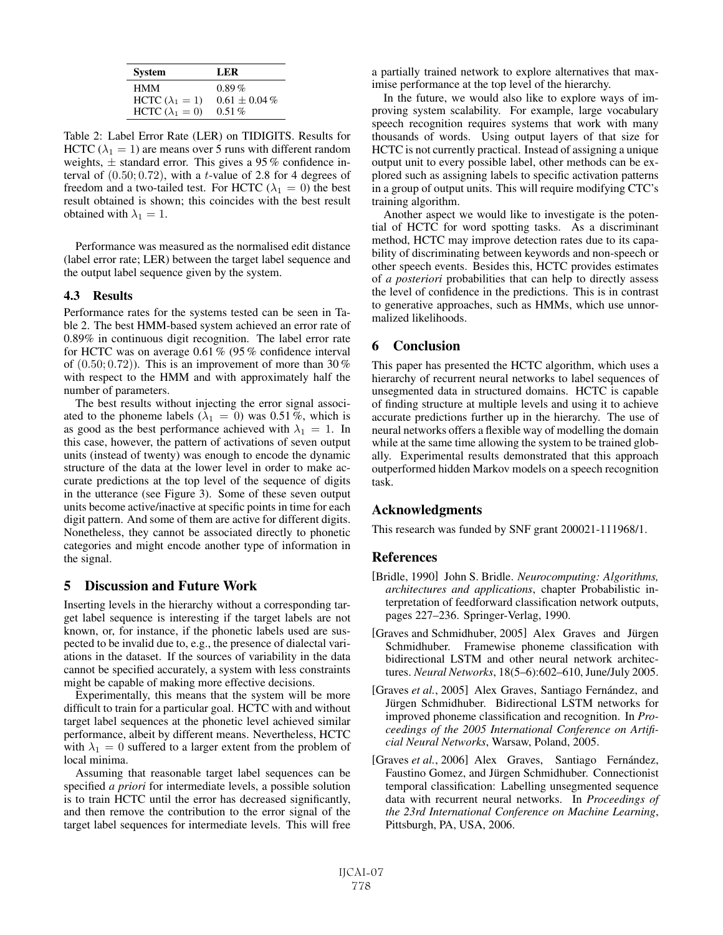| <b>System</b>          | LER.            |
|------------------------|-----------------|
| <b>HMM</b>             | $0.89\%$        |
| HCTC $(\lambda_1 = 1)$ | $0.61 + 0.04\%$ |
| HCTC $(\lambda_1 = 0)$ | $0.51\%$        |

Table 2: Label Error Rate (LER) on TIDIGITS. Results for HCTC ( $\lambda_1 = 1$ ) are means over 5 runs with different random weights,  $\pm$  standard error. This gives a 95 % confidence interval of  $(0.50; 0.72)$ , with a t-value of 2.8 for 4 degrees of freedom and a two-tailed test. For HCTC ( $\lambda_1 = 0$ ) the best result obtained is shown; this coincides with the best result obtained with  $\lambda_1 = 1$ .

Performance was measured as the normalised edit distance (label error rate; LER) between the target label sequence and the output label sequence given by the system.

#### **4.3 Results**

Performance rates for the systems tested can be seen in Table 2. The best HMM-based system achieved an error rate of 0.89% in continuous digit recognition. The label error rate for HCTC was on average 0.61 % (95 % confidence interval of  $(0.50; 0.72)$ . This is an improvement of more than 30 % with respect to the HMM and with approximately half the number of parameters.

The best results without injecting the error signal associated to the phoneme labels ( $\lambda_1 = 0$ ) was 0.51 %, which is as good as the best performance achieved with  $\lambda_1 = 1$ . In this case, however, the pattern of activations of seven output units (instead of twenty) was enough to encode the dynamic structure of the data at the lower level in order to make accurate predictions at the top level of the sequence of digits in the utterance (see Figure 3). Some of these seven output units become active/inactive at specific points in time for each digit pattern. And some of them are active for different digits. Nonetheless, they cannot be associated directly to phonetic categories and might encode another type of information in the signal.

# **5 Discussion and Future Work**

Inserting levels in the hierarchy without a corresponding target label sequence is interesting if the target labels are not known, or, for instance, if the phonetic labels used are suspected to be invalid due to, e.g., the presence of dialectal variations in the dataset. If the sources of variability in the data cannot be specified accurately, a system with less constraints might be capable of making more effective decisions.

Experimentally, this means that the system will be more difficult to train for a particular goal. HCTC with and without target label sequences at the phonetic level achieved similar performance, albeit by different means. Nevertheless, HCTC with  $\lambda_1 = 0$  suffered to a larger extent from the problem of local minima.

Assuming that reasonable target label sequences can be specified *a priori* for intermediate levels, a possible solution is to train HCTC until the error has decreased significantly, and then remove the contribution to the error signal of the target label sequences for intermediate levels. This will free a partially trained network to explore alternatives that maximise performance at the top level of the hierarchy.

In the future, we would also like to explore ways of improving system scalability. For example, large vocabulary speech recognition requires systems that work with many thousands of words. Using output layers of that size for HCTC is not currently practical. Instead of assigning a unique output unit to every possible label, other methods can be explored such as assigning labels to specific activation patterns in a group of output units. This will require modifying CTC's training algorithm.

Another aspect we would like to investigate is the potential of HCTC for word spotting tasks. As a discriminant method, HCTC may improve detection rates due to its capability of discriminating between keywords and non-speech or other speech events. Besides this, HCTC provides estimates of *a posteriori* probabilities that can help to directly assess the level of confidence in the predictions. This is in contrast to generative approaches, such as HMMs, which use unnormalized likelihoods.

# **6 Conclusion**

This paper has presented the HCTC algorithm, which uses a hierarchy of recurrent neural networks to label sequences of unsegmented data in structured domains. HCTC is capable of finding structure at multiple levels and using it to achieve accurate predictions further up in the hierarchy. The use of neural networks offers a flexible way of modelling the domain while at the same time allowing the system to be trained globally. Experimental results demonstrated that this approach outperformed hidden Markov models on a speech recognition task.

# **Acknowledgments**

This research was funded by SNF grant 200021-111968/1.

# **References**

- [Bridle, 1990] John S. Bridle. *Neurocomputing: Algorithms, architectures and applications*, chapter Probabilistic interpretation of feedforward classification network outputs, pages 227–236. Springer-Verlag, 1990.
- [Graves and Schmidhuber, 2005] Alex Graves and Jürgen Schmidhuber. Framewise phoneme classification with bidirectional LSTM and other neural network architectures. *Neural Networks*, 18(5–6):602–610, June/July 2005.
- [Graves *et al.*, 2005] Alex Graves, Santiago Fernández, and Jürgen Schmidhuber. Bidirectional LSTM networks for improved phoneme classification and recognition. In *Proceedings of the 2005 International Conference on Artificial Neural Networks*, Warsaw, Poland, 2005.
- [Graves *et al.*, 2006] Alex Graves, Santiago Fernández, Faustino Gomez, and Jürgen Schmidhuber. Connectionist temporal classification: Labelling unsegmented sequence data with recurrent neural networks. In *Proceedings of the 23rd International Conference on Machine Learning*, Pittsburgh, PA, USA, 2006.